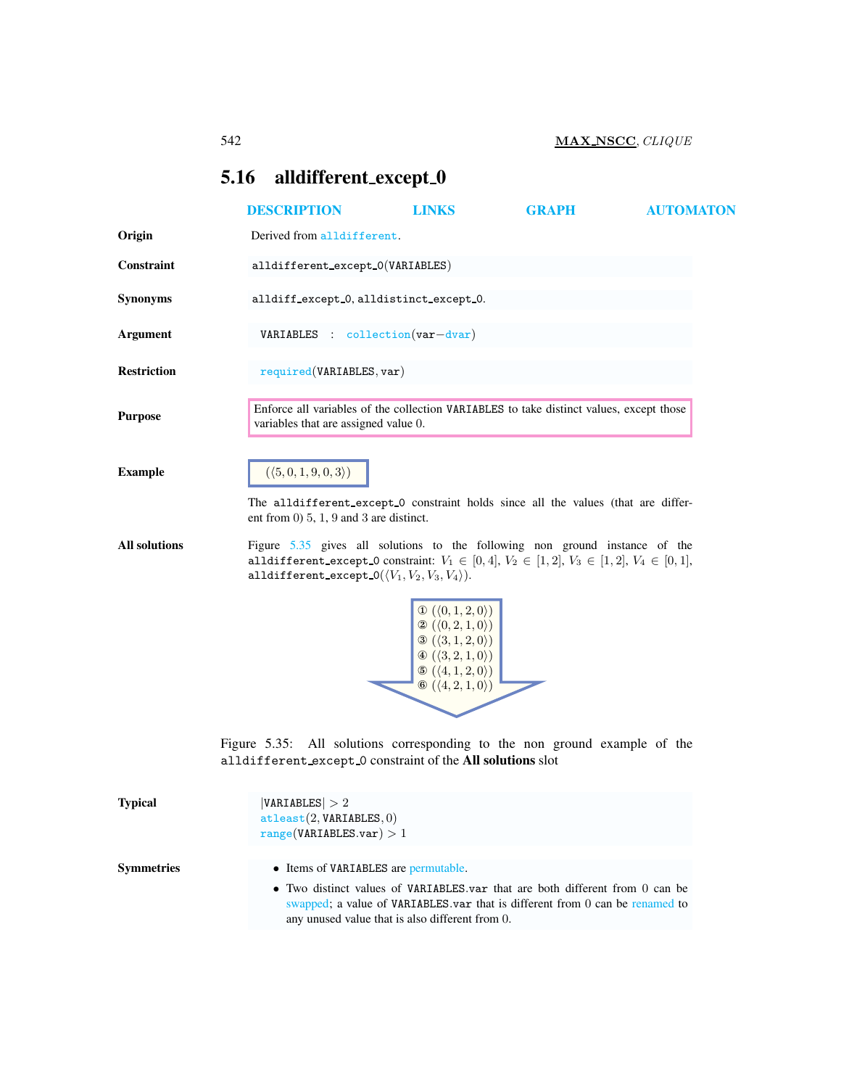# <span id="page-0-0"></span>5.16 alldifferent\_except\_0

|                      | <b>DESCRIPTION</b>                                                                                                                                                                                                                                         | <b>LINKS</b>                                                                                                                                                                                                                                     | <b>GRAPH</b> | <b>AUTOMATON</b> |
|----------------------|------------------------------------------------------------------------------------------------------------------------------------------------------------------------------------------------------------------------------------------------------------|--------------------------------------------------------------------------------------------------------------------------------------------------------------------------------------------------------------------------------------------------|--------------|------------------|
| Origin               | Derived from alldifferent.                                                                                                                                                                                                                                 |                                                                                                                                                                                                                                                  |              |                  |
| Constraint           | alldifferent_except_0(VARIABLES)                                                                                                                                                                                                                           |                                                                                                                                                                                                                                                  |              |                  |
| <b>Synonyms</b>      | alldiff_except_0, alldistinct_except_0.                                                                                                                                                                                                                    |                                                                                                                                                                                                                                                  |              |                  |
| <b>Argument</b>      | <b>VARIABLES</b> : collection $(var-dvar)$                                                                                                                                                                                                                 |                                                                                                                                                                                                                                                  |              |                  |
| <b>Restriction</b>   | required(VARIABLES, var)                                                                                                                                                                                                                                   |                                                                                                                                                                                                                                                  |              |                  |
| <b>Purpose</b>       | Enforce all variables of the collection VARIABLES to take distinct values, except those<br>variables that are assigned value 0.                                                                                                                            |                                                                                                                                                                                                                                                  |              |                  |
| <b>Example</b>       | $(\langle 5,0,1,9,0,3\rangle)$<br>The alldifferent_except_0 constraint holds since all the values (that are differ-<br>ent from $(0)$ 5, 1, 9 and 3 are distinct.                                                                                          |                                                                                                                                                                                                                                                  |              |                  |
| <b>All solutions</b> | Figure 5.35 gives all solutions to the following non ground instance of the<br>alldifferent_except_0 constraint: $V_1 \in [0,4]$ , $V_2 \in [1,2]$ , $V_3 \in [1,2]$ , $V_4 \in [0,1]$ ,<br>alldifferent_except_0( $\langle V_1, V_2, V_3, V_4 \rangle$ ). |                                                                                                                                                                                                                                                  |              |                  |
|                      |                                                                                                                                                                                                                                                            | $\mathbb{O}(\langle 0,1,2,0\rangle)$<br>$\otimes (\langle 0,2,1,0\rangle)$<br>$\mathcal{D}(\langle 3,1,2,0\rangle)$<br>$\Phi\left(\langle 3,2,1,0\rangle\right)$<br>$\odot (\langle 4, 1, 2, 0 \rangle)$<br>$\odot (\langle 4, 2, 1, 0 \rangle)$ |              |                  |
|                      | Figure 5.35: All solutions corresponding to the non-ground example of the<br>alldifferent except 0 constraint of the All solutions slot                                                                                                                    |                                                                                                                                                                                                                                                  |              |                  |
| <b>Typical</b>       | VARIABLES  > 2                                                                                                                                                                                                                                             |                                                                                                                                                                                                                                                  |              |                  |

<span id="page-0-1"></span>

| турісан    | $V$ ARIADLEO $\geq$ 4<br>attleast(2, VARIABLES, 0)<br>range(VARIABLES.var) > 1                                                                                                                                                                          |
|------------|---------------------------------------------------------------------------------------------------------------------------------------------------------------------------------------------------------------------------------------------------------|
| Symmetries | • Items of VARIABLES are permutable.<br>• Two distinct values of VARIABLES var that are both different from 0 can be<br>swapped; a value of VARIABLES var that is different from 0 can be renamed to<br>any unused value that is also different from 0. |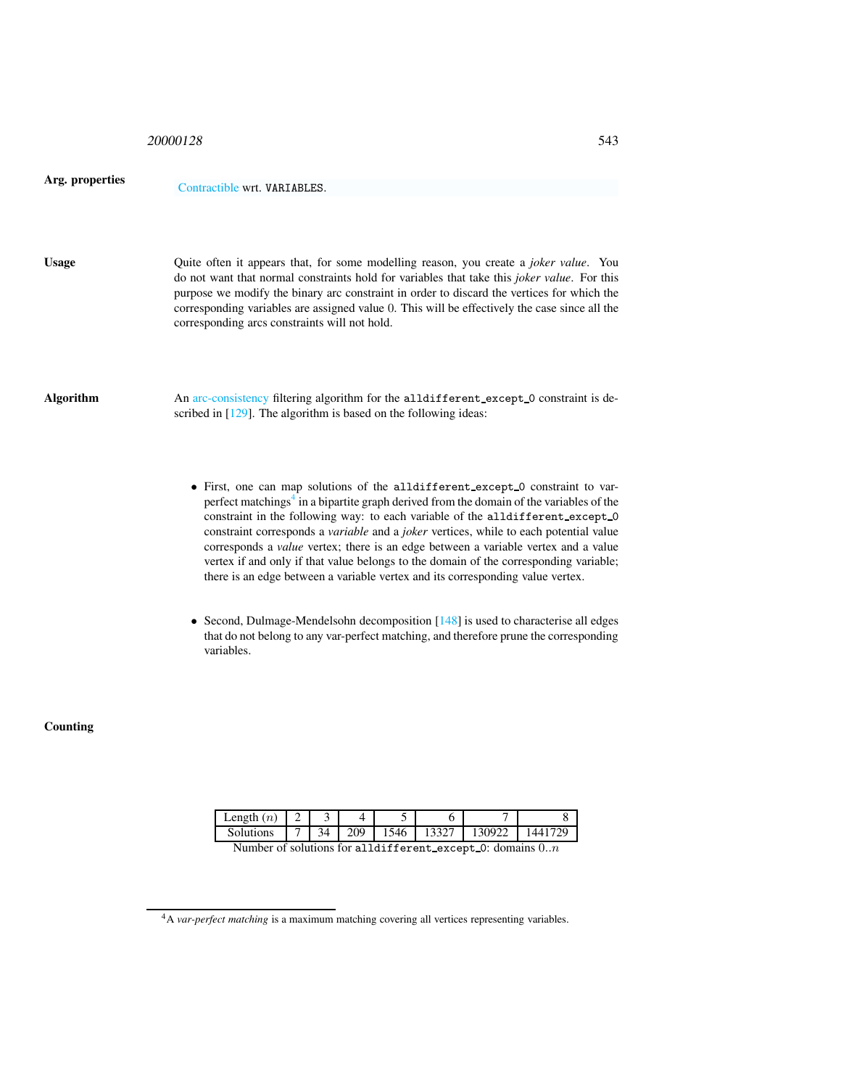| 20000128 | 543 |
|----------|-----|
|          |     |

| Arg. properuc |  |
|---------------|--|
|               |  |

ties Contractible wrt. VARIABLES.

Usage Quite often it appears that, for some modelling reason, you create a *joker value*. You do not want that normal constraints hold for variables that take this *joker value*. For this purpose we modify the binary arc constraint in order to discard the vertices for which the corresponding variables are assigned value 0. This will be effectively the case since all the corresponding arcs constraints will not hold.

Algorithm An arc-consistency filtering algorithm for the alldifferent except 0 constraint is described in [129]. The algorithm is based on the following ideas:

- First, one can map solutions of the alldifferent except 0 constraint to varperfect matchings $4$  in a bipartite graph derived from the domain of the variables of the constraint in the following way: to each variable of the alldifferent\_except\_0 constraint corresponds a *variable* and a *joker* vertices, while to each potential value corresponds a *value* vertex; there is an edge between a variable vertex and a value vertex if and only if that value belongs to the domain of the corresponding variable; there is an edge between a variable vertex and its corresponding value vertex.
- Second, Dulmage-Mendelsohn decomposition [148] is used to characterise all edges that do not belong to any var-perfect matching, and therefore prune the corresponding variables.

**Counting** 

| Length $(n)$                                                   |  |  |          |  |              |        |         |
|----------------------------------------------------------------|--|--|----------|--|--------------|--------|---------|
| <b>Solutions</b>                                               |  |  | 7 34 209 |  | $1546$ 13327 | 130922 | 1441729 |
| Number of solutions for alldifferent except $0$ : domains $0n$ |  |  |          |  |              |        |         |

<span id="page-1-0"></span><sup>&</sup>lt;sup>4</sup>A *var-perfect matching* is a maximum matching covering all vertices representing variables.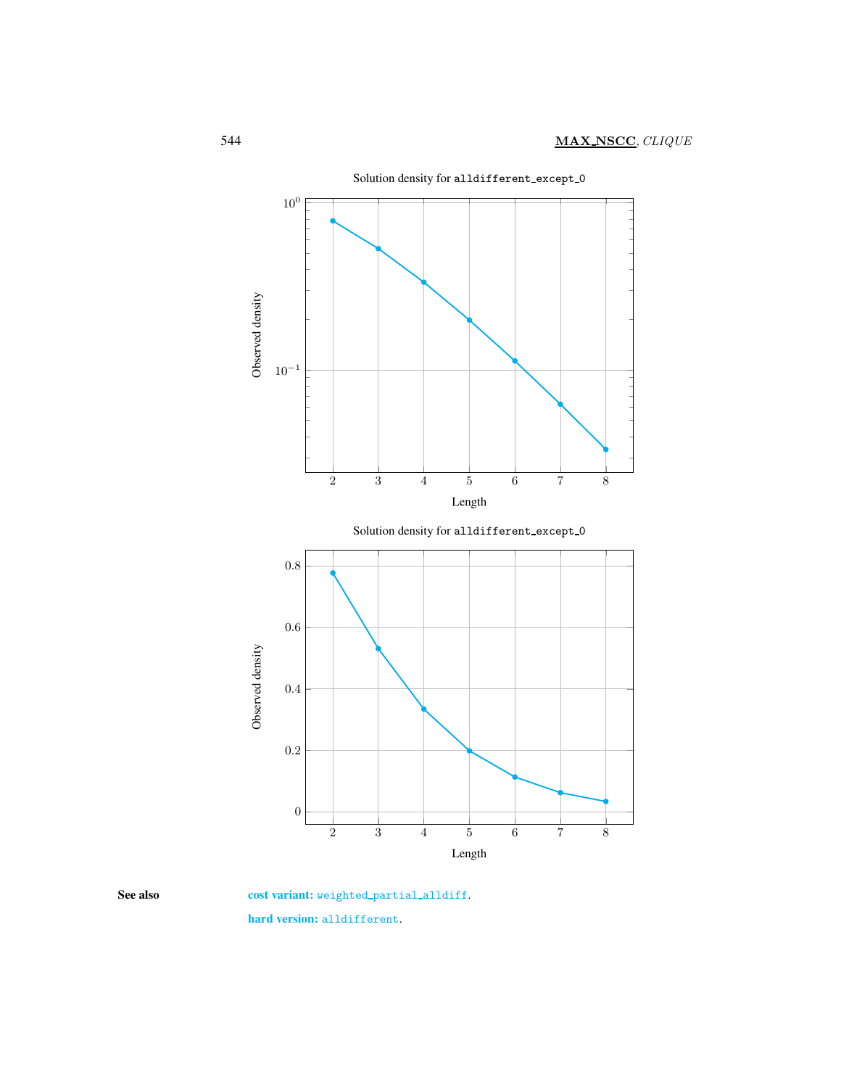

<span id="page-2-0"></span>

See also cost variant: weighted\_partial\_alldiff.

hard version: alldifferent.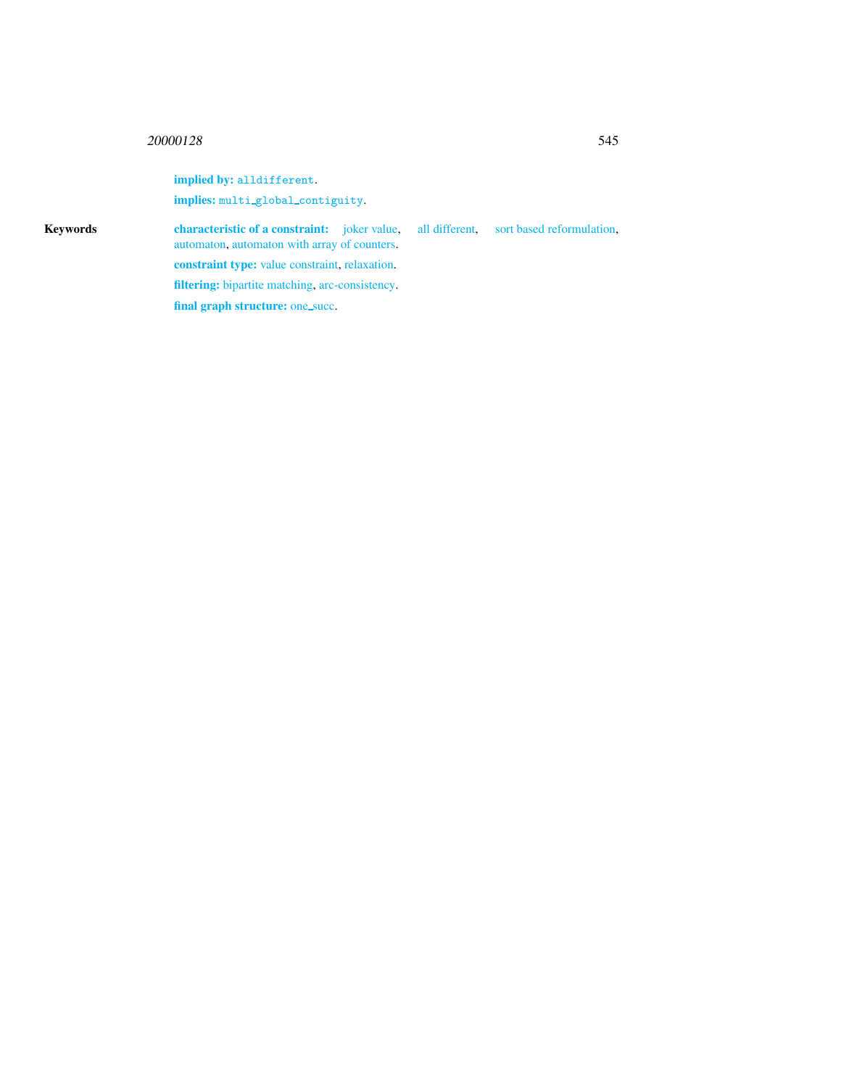## <sup>20000128</sup> 545

implied by: alldifferent. implies: multi\_global\_contiguity. Keywords characteristic of a constraint: joker value, all different, sort based reformulation, automaton, automaton with array of counters. constraint type: value constraint, relaxation. filtering: bipartite matching, arc-consistency. final graph structure: one\_succ.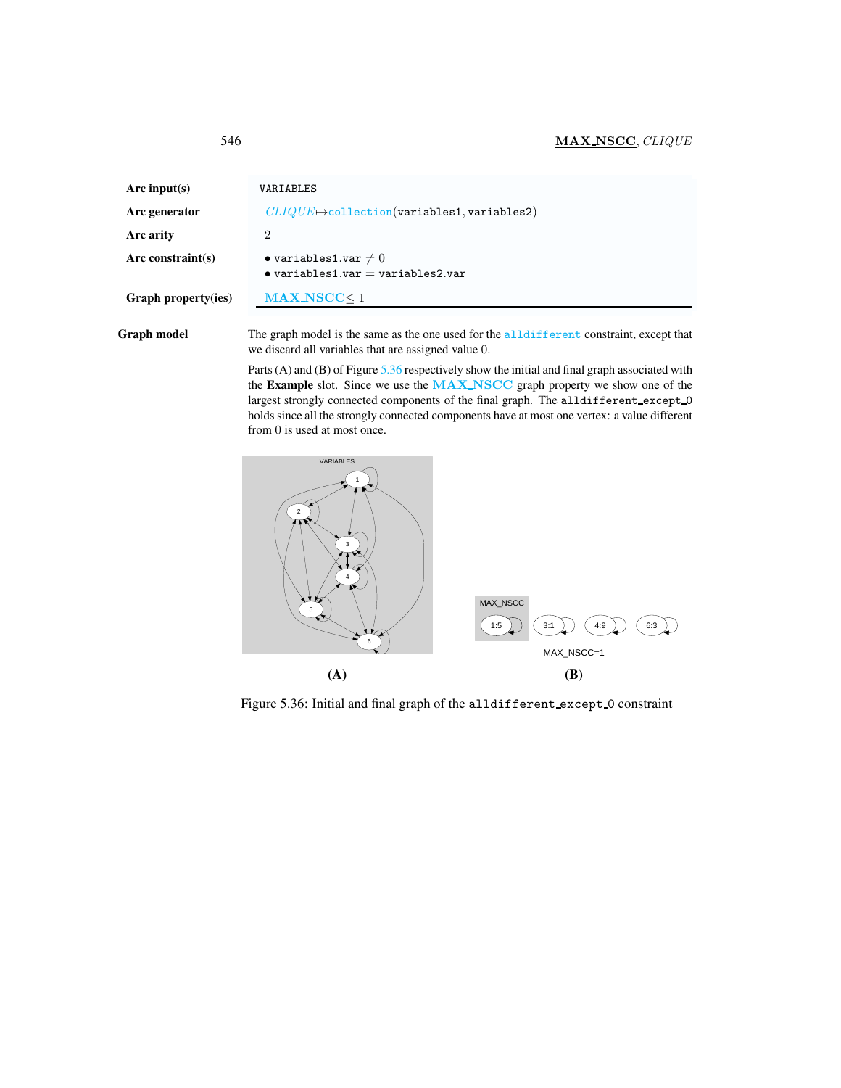<span id="page-4-0"></span>

| Arc input(s)        | VARIABLES                                                                      |
|---------------------|--------------------------------------------------------------------------------|
| Arc generator       | $CLIQUE \rightarrow collection(variables1, variables2)$                        |
| Arc arity           | 2                                                                              |
| Arc constraint(s)   | $\bullet$ variables1.var $\neq 0$<br>$\bullet$ variables1.var = variables2.var |
| Graph property(ies) | $MAX_NSCC < 1$                                                                 |

Graph model The graph model is the same as the one used for the alldifferent constraint, except that we discard all variables that are assigned value 0.

> Parts (A) and (B) of Figure [5.36](#page-4-1) respectively show the initial and final graph associated with the Example slot. Since we use the MAX\_NSCC graph property we show one of the largest strongly connected components of the final graph. The alldifferent except 0 holds since all the strongly connected components have at most one vertex: a value different from 0 is used at most once.



<span id="page-4-1"></span>Figure 5.36: Initial and final graph of the alldifferent except 0 constraint